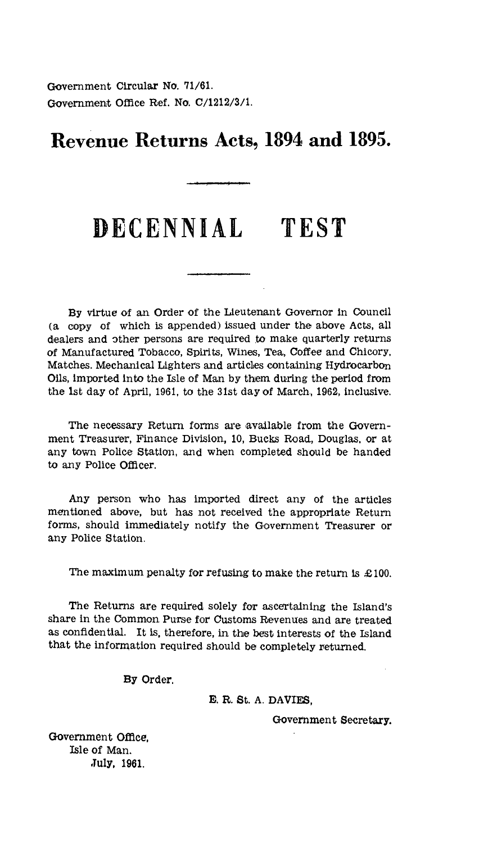Government Circular No. 71/61. Government Office Ref. No. C/1212/3/1.

## **Revenue Returns Acts, 1894 and 1895.**

## **DECENNIAL TEST**

By virtue of an Order of the Lieutenant Governor in Council (a copy of which is appended) issued under the above Acts, all dealers and other persons are required to make quarterly returns of Manufactured Tobacco, Spirits, Wines, Tea, Coffee and Chicory, Matches. Mechanical Lighters and articles containing Hydrocarbon Oils, imported into the Isle of Man by them during the period from the 1st day of April, 1961, to the 31st day of March, 1962, inclusive.

The necessary Return forms are available from the Government Treasurer, Finance Division, 10, Bucks Road, Douglas, or at any town Police Station, and when completed should be handed to any Police Officer.

Any person who has imported direct any of the articles mentioned above, but has not received the appropriate Return forms, should immediately notify the Government Treasurer or any Police Station.

The maximum penalty for refusing to make the return is £100.

The Returns are required solely for ascertaining the Island's share in the Common Purse for Customs Revenues and are treated as confidential. It is, therefore, in the best interests of the Island that the information required should be completely returned.

**By Order.** 

**B. R. St. A. DAVIES,** 

**Government Secretary.** 

**Government Office, Isle of Man. July, 1961.**